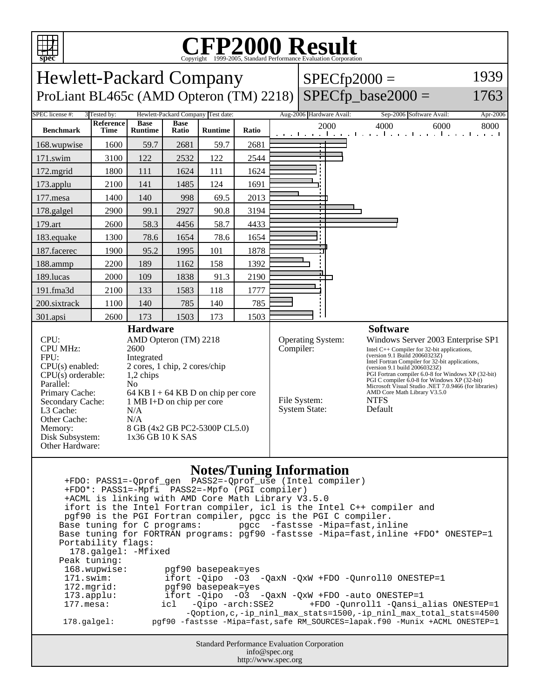

## C<sub>opyright</sub> ©1999-2005, Standard Performance Evaluation Corporation

| spec<br>Copyright @1999-2000, Standard Ferrormance Evaluation Corporation                                                                                                                                                                                                                                                                                                                                                                                                                                                                                                                                                                                                                                                                                                                                                                                                                                                                                                                         |                   |                               |                      |                |                                                                                                                                                                                                                                                                                                                                                                                                                                                                                                           |  |      |                                                               |      |
|---------------------------------------------------------------------------------------------------------------------------------------------------------------------------------------------------------------------------------------------------------------------------------------------------------------------------------------------------------------------------------------------------------------------------------------------------------------------------------------------------------------------------------------------------------------------------------------------------------------------------------------------------------------------------------------------------------------------------------------------------------------------------------------------------------------------------------------------------------------------------------------------------------------------------------------------------------------------------------------------------|-------------------|-------------------------------|----------------------|----------------|-----------------------------------------------------------------------------------------------------------------------------------------------------------------------------------------------------------------------------------------------------------------------------------------------------------------------------------------------------------------------------------------------------------------------------------------------------------------------------------------------------------|--|------|---------------------------------------------------------------|------|
| 1939<br><b>Hewlett-Packard Company</b><br>$SPECfp2000 =$                                                                                                                                                                                                                                                                                                                                                                                                                                                                                                                                                                                                                                                                                                                                                                                                                                                                                                                                          |                   |                               |                      |                |                                                                                                                                                                                                                                                                                                                                                                                                                                                                                                           |  |      |                                                               |      |
| ProLiant BL465c (AMD Opteron (TM) 2218)                                                                                                                                                                                                                                                                                                                                                                                                                                                                                                                                                                                                                                                                                                                                                                                                                                                                                                                                                           |                   |                               |                      |                |                                                                                                                                                                                                                                                                                                                                                                                                                                                                                                           |  |      | $SPECfp\_base2000 =$                                          | 1763 |
| Hewlett-Packard Company Test date:<br>SPEC license #:<br>Aug-2006 Hardware Avail:<br>3 Tested by:<br>Sep-2006 Software Avail:<br>Apr-2006                                                                                                                                                                                                                                                                                                                                                                                                                                                                                                                                                                                                                                                                                                                                                                                                                                                         |                   |                               |                      |                |                                                                                                                                                                                                                                                                                                                                                                                                                                                                                                           |  |      |                                                               |      |
| <b>Benchmark</b>                                                                                                                                                                                                                                                                                                                                                                                                                                                                                                                                                                                                                                                                                                                                                                                                                                                                                                                                                                                  | Reference<br>Time | <b>Base</b><br><b>Runtime</b> | <b>Base</b><br>Ratio | <b>Runtime</b> | Ratio                                                                                                                                                                                                                                                                                                                                                                                                                                                                                                     |  | 2000 | 4000<br>6000<br>المتواجب والمتواطن والمتواطن والمتواطن والمتو | 8000 |
| 168.wupwise                                                                                                                                                                                                                                                                                                                                                                                                                                                                                                                                                                                                                                                                                                                                                                                                                                                                                                                                                                                       | 1600              | 59.7                          | 2681                 | 59.7           | 2681                                                                                                                                                                                                                                                                                                                                                                                                                                                                                                      |  |      |                                                               |      |
| 171.swim                                                                                                                                                                                                                                                                                                                                                                                                                                                                                                                                                                                                                                                                                                                                                                                                                                                                                                                                                                                          | 3100              | 122                           | 2532                 | 122            | 2544                                                                                                                                                                                                                                                                                                                                                                                                                                                                                                      |  |      |                                                               |      |
| 172.mgrid                                                                                                                                                                                                                                                                                                                                                                                                                                                                                                                                                                                                                                                                                                                                                                                                                                                                                                                                                                                         | 1800              | 111                           | 1624                 | 111            | 1624                                                                                                                                                                                                                                                                                                                                                                                                                                                                                                      |  |      |                                                               |      |
| 173.applu                                                                                                                                                                                                                                                                                                                                                                                                                                                                                                                                                                                                                                                                                                                                                                                                                                                                                                                                                                                         | 2100              | 141                           | 1485                 | 124            | 1691                                                                                                                                                                                                                                                                                                                                                                                                                                                                                                      |  |      |                                                               |      |
| 177.mesa                                                                                                                                                                                                                                                                                                                                                                                                                                                                                                                                                                                                                                                                                                                                                                                                                                                                                                                                                                                          | 1400              | 140                           | 998                  | 69.5           | 2013                                                                                                                                                                                                                                                                                                                                                                                                                                                                                                      |  |      |                                                               |      |
| 178.galgel                                                                                                                                                                                                                                                                                                                                                                                                                                                                                                                                                                                                                                                                                                                                                                                                                                                                                                                                                                                        | 2900              | 99.1                          | 2927                 | 90.8           | 3194                                                                                                                                                                                                                                                                                                                                                                                                                                                                                                      |  |      |                                                               |      |
| 179.art                                                                                                                                                                                                                                                                                                                                                                                                                                                                                                                                                                                                                                                                                                                                                                                                                                                                                                                                                                                           | 2600              | 58.3                          | 4456                 | 58.7           | 4433                                                                                                                                                                                                                                                                                                                                                                                                                                                                                                      |  |      |                                                               |      |
| 183.equake                                                                                                                                                                                                                                                                                                                                                                                                                                                                                                                                                                                                                                                                                                                                                                                                                                                                                                                                                                                        | 1300              | 78.6                          | 1654                 | 78.6           | 1654                                                                                                                                                                                                                                                                                                                                                                                                                                                                                                      |  |      |                                                               |      |
| 187.facerec                                                                                                                                                                                                                                                                                                                                                                                                                                                                                                                                                                                                                                                                                                                                                                                                                                                                                                                                                                                       | 1900              | 95.2                          | 1995                 | 101            | 1878                                                                                                                                                                                                                                                                                                                                                                                                                                                                                                      |  |      |                                                               |      |
| 188.ammp                                                                                                                                                                                                                                                                                                                                                                                                                                                                                                                                                                                                                                                                                                                                                                                                                                                                                                                                                                                          | 2200              | 189                           | 1162                 | 158            | 1392                                                                                                                                                                                                                                                                                                                                                                                                                                                                                                      |  |      |                                                               |      |
| 189.lucas                                                                                                                                                                                                                                                                                                                                                                                                                                                                                                                                                                                                                                                                                                                                                                                                                                                                                                                                                                                         | 2000              | 109                           | 1838                 | 91.3           | 2190                                                                                                                                                                                                                                                                                                                                                                                                                                                                                                      |  |      |                                                               |      |
| 191.fma3d                                                                                                                                                                                                                                                                                                                                                                                                                                                                                                                                                                                                                                                                                                                                                                                                                                                                                                                                                                                         | 2100              | 133                           | 1583                 | 118            | 1777                                                                                                                                                                                                                                                                                                                                                                                                                                                                                                      |  |      |                                                               |      |
| 200.sixtrack                                                                                                                                                                                                                                                                                                                                                                                                                                                                                                                                                                                                                                                                                                                                                                                                                                                                                                                                                                                      | 1100              | 140                           | 785                  | 140            | 785                                                                                                                                                                                                                                                                                                                                                                                                                                                                                                       |  |      |                                                               |      |
| 301.apsi                                                                                                                                                                                                                                                                                                                                                                                                                                                                                                                                                                                                                                                                                                                                                                                                                                                                                                                                                                                          | 2600              | 173                           | 1503                 | 173            | 1503                                                                                                                                                                                                                                                                                                                                                                                                                                                                                                      |  |      |                                                               |      |
| CPU:<br>AMD Opteron (TM) 2218<br><b>CPU MHz:</b><br>2600<br>FPU:<br>Integrated<br>2 cores, 1 chip, 2 cores/chip<br>$CPU(s)$ enabled:<br>CPU(s) orderable:<br>1,2 chips<br>Parallel:<br>N <sub>o</sub><br>Primary Cache:<br>64 KB I + 64 KB D on chip per core<br>1 MB I+D on chip per core<br>Secondary Cache:<br>L3 Cache:<br>N/A<br>N/A<br>Other Cache:<br>8 GB (4x2 GB PC2-5300P CL5.0)<br>Memory:<br>1x36 GB 10 K SAS<br>Disk Subsystem:<br>Other Hardware:                                                                                                                                                                                                                                                                                                                                                                                                                                                                                                                                   |                   |                               |                      |                | Operating System:<br>Windows Server 2003 Enterprise SP1<br>Compiler:<br>Intel C++ Compiler for 32-bit applications,<br>(version 9.1 Build 20060323Z)<br>Intel Fortran Compiler for 32-bit applications,<br>(version 9.1 build 20060323Z)<br>PGI Fortran compiler 6.0-8 for Windows XP (32-bit)<br>PGI C compiler 6.0-8 for Windows XP (32-bit)<br>Microsoft Visual Studio .NET 7.0.9466 (for libraries)<br>AMD Core Math Library V3.5.0<br>File System:<br><b>NTFS</b><br><b>System State:</b><br>Default |  |      |                                                               |      |
| <b>Notes/Tuning Information</b><br>+FDO*: PASS1=-Mpfi PASS2=-Mpfo (PGI compiler)<br>+ACML is linking with AMD Core Math Library V3.5.0<br>ifort is the Intel Fortran compiler, icl is the Intel C++ compiler and<br>pgf90 is the PGI Fortran compiler, pgcc is the PGI C compiler.<br>Base tuning for C programs:<br>pgcc -fastsse -Mipa=fast,inline<br>Base tuning for FORTRAN programs: pgf90 -fastsse -Mipa=fast, inline +FDO* ONESTEP=1<br>Portability flags:<br>178.galgel: - Mfixed<br>Peak tuning:<br>168.wupwise:<br>pgf90 basepeak=yes<br>171.swim:<br>ifort -Qipo -03 -QaxN -QxW +FDO -Qunroll0 ONESTEP=1<br>pgf90 basepeak=yes<br>172.mgrid:<br>ifort -Qipo -03 -QaxN -QxW +FDO -auto ONESTEP=1<br>$173.\text{applu}:$<br>-Qipo -arch:SSE2<br>+FDO -Qunroll1 -Qansi_alias ONESTEP=1<br>$177.\text{mesa}$ :<br>icl<br>-Qoption, c, -ip_ninl_max_stats=1500, -ip_ninl_max_total_stats=4500<br>pgf90 -fastsse -Mipa=fast, safe RM_SOURCES=lapak.f90 -Munix +ACML ONESTEP=1<br>178.galgel: |                   |                               |                      |                |                                                                                                                                                                                                                                                                                                                                                                                                                                                                                                           |  |      |                                                               |      |
| Standard Performance Evaluation Corporation<br>info@spec.org                                                                                                                                                                                                                                                                                                                                                                                                                                                                                                                                                                                                                                                                                                                                                                                                                                                                                                                                      |                   |                               |                      |                |                                                                                                                                                                                                                                                                                                                                                                                                                                                                                                           |  |      |                                                               |      |

http://www.spec.org